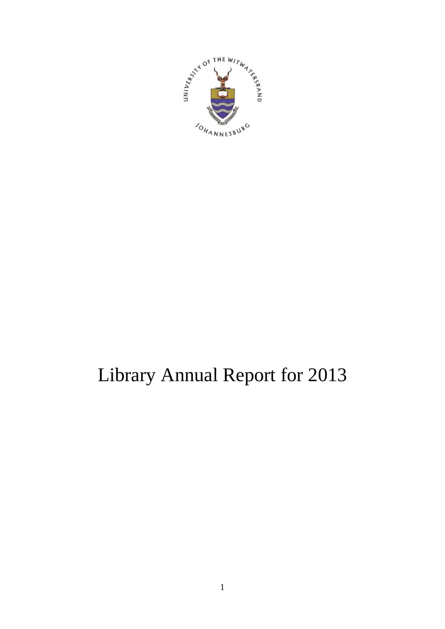

# Library Annual Report for 2013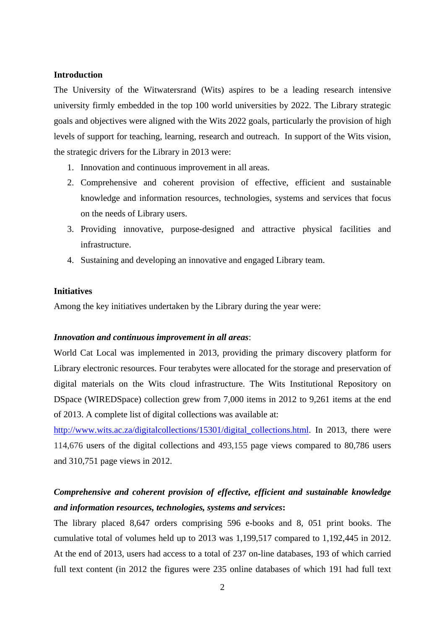#### **Introduction**

The University of the Witwatersrand (Wits) aspires to be a leading research intensive university firmly embedded in the top 100 world universities by 2022. The Library strategic goals and objectives were aligned with the Wits 2022 goals, particularly the provision of high levels of support for teaching, learning, research and outreach. In support of the Wits vision, the strategic drivers for the Library in 2013 were:

- 1. Innovation and continuous improvement in all areas.
- 2. Comprehensive and coherent provision of effective, efficient and sustainable knowledge and information resources, technologies, systems and services that focus on the needs of Library users.
- 3. Providing innovative, purpose-designed and attractive physical facilities and infrastructure.
- 4. Sustaining and developing an innovative and engaged Library team.

# **Initiatives**

Among the key initiatives undertaken by the Library during the year were:

#### *Innovation and continuous improvement in all areas*:

World Cat Local was implemented in 2013, providing the primary discovery platform for Library electronic resources. Four terabytes were allocated for the storage and preservation of digital materials on the Wits cloud infrastructure. The Wits Institutional Repository on DSpace (WIREDSpace) collection grew from 7,000 items in 2012 to 9,261 items at the end of 2013. A complete list of digital collections was available at:

http://www.wits.ac.za/digitalcollections/15301/digital collections.html. In 2013, there were 114,676 users of the digital collections and 493,155 page views compared to 80,786 users and 310,751 page views in 2012.

# *Comprehensive and coherent provision of effective, efficient and sustainable knowledge and information resources, technologies, systems and services***:**

The library placed 8,647 orders comprising 596 e-books and 8, 051 print books. The cumulative total of volumes held up to 2013 was 1,199,517 compared to 1,192,445 in 2012. At the end of 2013, users had access to a total of 237 on-line databases, 193 of which carried full text content (in 2012 the figures were 235 online databases of which 191 had full text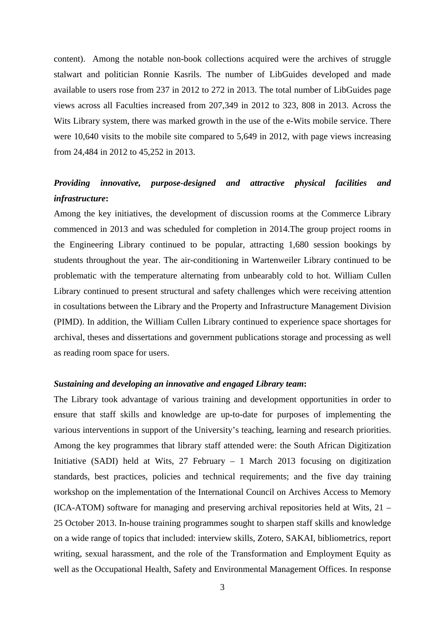content). Among the notable non-book collections acquired were the archives of struggle stalwart and politician Ronnie Kasrils. The number of LibGuides developed and made available to users rose from 237 in 2012 to 272 in 2013. The total number of LibGuides page views across all Faculties increased from 207,349 in 2012 to 323, 808 in 2013. Across the Wits Library system, there was marked growth in the use of the e-Wits mobile service. There were 10,640 visits to the mobile site compared to 5,649 in 2012, with page views increasing from 24,484 in 2012 to 45,252 in 2013.

# *Providing innovative, purpose-designed and attractive physical facilities and infrastructure***:**

Among the key initiatives, the development of discussion rooms at the Commerce Library commenced in 2013 and was scheduled for completion in 2014.The group project rooms in the Engineering Library continued to be popular, attracting 1,680 session bookings by students throughout the year. The air-conditioning in Wartenweiler Library continued to be problematic with the temperature alternating from unbearably cold to hot. William Cullen Library continued to present structural and safety challenges which were receiving attention in cosultations between the Library and the Property and Infrastructure Management Division (PIMD). In addition, the William Cullen Library continued to experience space shortages for archival, theses and dissertations and government publications storage and processing as well as reading room space for users.

## *Sustaining and developing an innovative and engaged Library team***:**

The Library took advantage of various training and development opportunities in order to ensure that staff skills and knowledge are up-to-date for purposes of implementing the various interventions in support of the University's teaching, learning and research priorities. Among the key programmes that library staff attended were: the South African Digitization Initiative (SADI) held at Wits, 27 February – 1 March 2013 focusing on digitization standards, best practices, policies and technical requirements; and the five day training workshop on the implementation of the International Council on Archives Access to Memory (ICA-ATOM) software for managing and preserving archival repositories held at Wits, 21 – 25 October 2013. In-house training programmes sought to sharpen staff skills and knowledge on a wide range of topics that included: interview skills, Zotero, SAKAI, bibliometrics, report writing, sexual harassment, and the role of the Transformation and Employment Equity as well as the Occupational Health, Safety and Environmental Management Offices. In response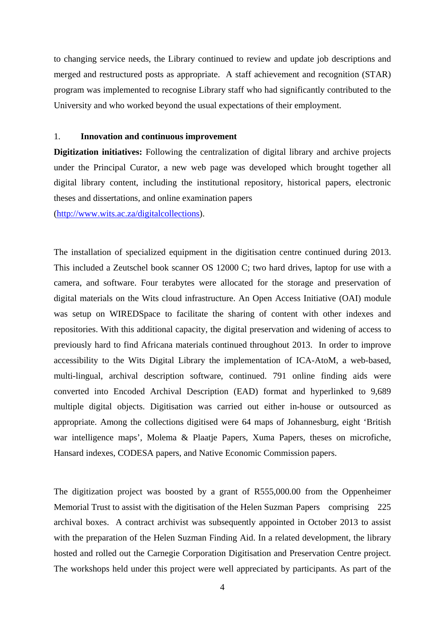to changing service needs, the Library continued to review and update job descriptions and merged and restructured posts as appropriate. A staff achievement and recognition (STAR) program was implemented to recognise Library staff who had significantly contributed to the University and who worked beyond the usual expectations of their employment.

#### 1. **Innovation and continuous improvement**

**Digitization initiatives:** Following the centralization of digital library and archive projects under the Principal Curator, a new web page was developed which brought together all digital library content, including the institutional repository, historical papers, electronic theses and dissertations, and online examination papers

(http://www.wits.ac.za/digitalcollections).

The installation of specialized equipment in the digitisation centre continued during 2013. This included a Zeutschel book scanner OS 12000 C; two hard drives, laptop for use with a camera, and software. Four terabytes were allocated for the storage and preservation of digital materials on the Wits cloud infrastructure. An Open Access Initiative (OAI) module was setup on WIREDSpace to facilitate the sharing of content with other indexes and repositories. With this additional capacity, the digital preservation and widening of access to previously hard to find Africana materials continued throughout 2013. In order to improve accessibility to the Wits Digital Library the implementation of ICA-AtoM, a web-based, multi-lingual, archival description software, continued. 791 online finding aids were converted into Encoded Archival Description (EAD) format and hyperlinked to 9,689 multiple digital objects. Digitisation was carried out either in-house or outsourced as appropriate. Among the collections digitised were 64 maps of Johannesburg, eight 'British war intelligence maps', Molema & Plaatje Papers, Xuma Papers, theses on microfiche, Hansard indexes, CODESA papers, and Native Economic Commission papers.

The digitization project was boosted by a grant of R555,000.00 from the Oppenheimer Memorial Trust to assist with the digitisation of the Helen Suzman Papers comprising 225 archival boxes. A contract archivist was subsequently appointed in October 2013 to assist with the preparation of the Helen Suzman Finding Aid. In a related development, the library hosted and rolled out the Carnegie Corporation Digitisation and Preservation Centre project. The workshops held under this project were well appreciated by participants. As part of the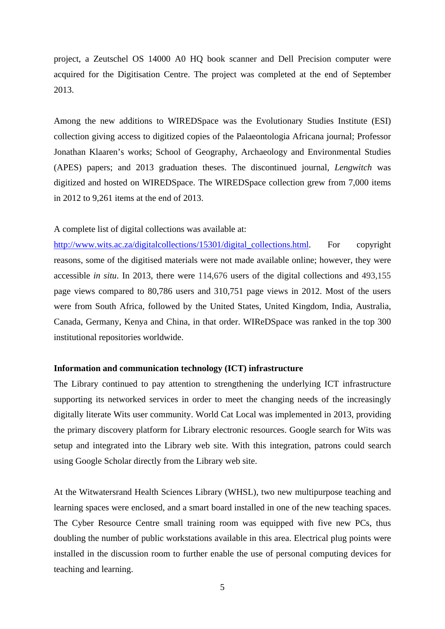project, a Zeutschel OS 14000 A0 HQ book scanner and Dell Precision computer were acquired for the Digitisation Centre. The project was completed at the end of September 2013.

Among the new additions to WIREDSpace was the Evolutionary Studies Institute (ESI) collection giving access to digitized copies of the Palaeontologia Africana journal; Professor Jonathan Klaaren's works; School of Geography, Archaeology and Environmental Studies (APES) papers; and 2013 graduation theses. The discontinued journal, *Lengwitch* was digitized and hosted on WIREDSpace. The WIREDSpace collection grew from 7,000 items in 2012 to 9,261 items at the end of 2013.

### A complete list of digital collections was available at:

http://www.wits.ac.za/digitalcollections/15301/digital\_collections.html. For copyright reasons, some of the digitised materials were not made available online; however, they were accessible *in situ*. In 2013, there were 114,676 users of the digital collections and 493,155 page views compared to 80,786 users and 310,751 page views in 2012. Most of the users were from South Africa, followed by the United States, United Kingdom, India, Australia, Canada, Germany, Kenya and China, in that order. WIReDSpace was ranked in the top 300 institutional repositories worldwide.

#### **Information and communication technology (ICT) infrastructure**

The Library continued to pay attention to strengthening the underlying ICT infrastructure supporting its networked services in order to meet the changing needs of the increasingly digitally literate Wits user community. World Cat Local was implemented in 2013, providing the primary discovery platform for Library electronic resources. Google search for Wits was setup and integrated into the Library web site. With this integration, patrons could search using Google Scholar directly from the Library web site.

At the Witwatersrand Health Sciences Library (WHSL), two new multipurpose teaching and learning spaces were enclosed, and a smart board installed in one of the new teaching spaces. The Cyber Resource Centre small training room was equipped with five new PCs, thus doubling the number of public workstations available in this area. Electrical plug points were installed in the discussion room to further enable the use of personal computing devices for teaching and learning.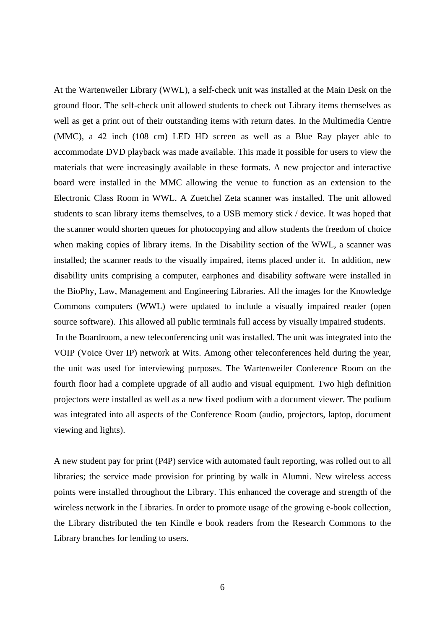At the Wartenweiler Library (WWL), a self-check unit was installed at the Main Desk on the ground floor. The self-check unit allowed students to check out Library items themselves as well as get a print out of their outstanding items with return dates. In the Multimedia Centre (MMC), a 42 inch (108 cm) LED HD screen as well as a Blue Ray player able to accommodate DVD playback was made available. This made it possible for users to view the materials that were increasingly available in these formats. A new projector and interactive board were installed in the MMC allowing the venue to function as an extension to the Electronic Class Room in WWL. A Zuetchel Zeta scanner was installed. The unit allowed students to scan library items themselves, to a USB memory stick / device. It was hoped that the scanner would shorten queues for photocopying and allow students the freedom of choice when making copies of library items. In the Disability section of the WWL, a scanner was installed; the scanner reads to the visually impaired, items placed under it. In addition, new disability units comprising a computer, earphones and disability software were installed in the BioPhy, Law, Management and Engineering Libraries. All the images for the Knowledge Commons computers (WWL) were updated to include a visually impaired reader (open source software). This allowed all public terminals full access by visually impaired students.

 In the Boardroom, a new teleconferencing unit was installed. The unit was integrated into the VOIP (Voice Over IP) network at Wits. Among other teleconferences held during the year, the unit was used for interviewing purposes. The Wartenweiler Conference Room on the fourth floor had a complete upgrade of all audio and visual equipment. Two high definition projectors were installed as well as a new fixed podium with a document viewer. The podium was integrated into all aspects of the Conference Room (audio, projectors, laptop, document viewing and lights).

A new student pay for print (P4P) service with automated fault reporting, was rolled out to all libraries; the service made provision for printing by walk in Alumni. New wireless access points were installed throughout the Library. This enhanced the coverage and strength of the wireless network in the Libraries. In order to promote usage of the growing e-book collection, the Library distributed the ten Kindle e book readers from the Research Commons to the Library branches for lending to users.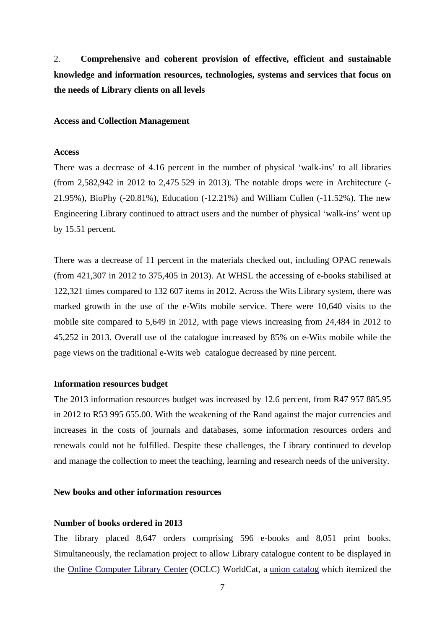2. **Comprehensive and coherent provision of effective, efficient and sustainable knowledge and information resources, technologies, systems and services that focus on the needs of Library clients on all levels**

#### **Access and Collection Management**

#### **Access**

There was a decrease of 4.16 percent in the number of physical 'walk-ins' to all libraries (from 2,582,942 in 2012 to 2,475 529 in 2013). The notable drops were in Architecture (- 21.95%), BioPhy (-20.81%), Education (-12.21%) and William Cullen (-11.52%). The new Engineering Library continued to attract users and the number of physical 'walk-ins' went up by 15.51 percent.

There was a decrease of 11 percent in the materials checked out, including OPAC renewals (from 421,307 in 2012 to 375,405 in 2013). At WHSL the accessing of e-books stabilised at 122,321 times compared to 132 607 items in 2012. Across the Wits Library system, there was marked growth in the use of the e-Wits mobile service. There were 10,640 visits to the mobile site compared to 5,649 in 2012, with page views increasing from 24,484 in 2012 to 45,252 in 2013. Overall use of the catalogue increased by 85% on e-Wits mobile while the page views on the traditional e-Wits web catalogue decreased by nine percent.

#### **Information resources budget**

The 2013 information resources budget was increased by 12.6 percent, from R47 957 885.95 in 2012 to R53 995 655.00. With the weakening of the Rand against the major currencies and increases in the costs of journals and databases, some information resources orders and renewals could not be fulfilled. Despite these challenges, the Library continued to develop and manage the collection to meet the teaching, learning and research needs of the university.

# **New books and other information resources**

# **Number of books ordered in 2013**

The library placed 8,647 orders comprising 596 e-books and 8,051 print books. Simultaneously, the reclamation project to allow Library catalogue content to be displayed in the Online Computer Library Center (OCLC) WorldCat, a union catalog which itemized the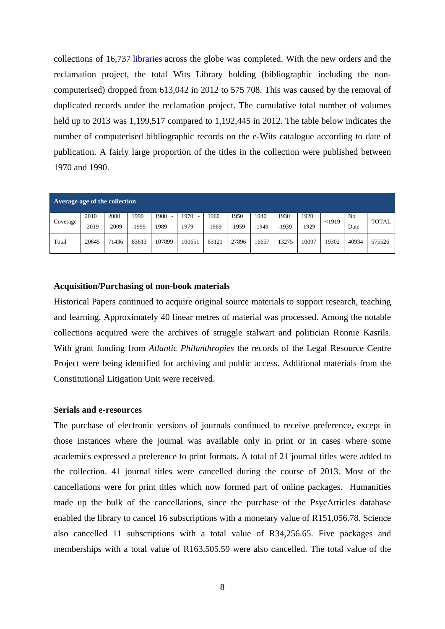collections of 16,737 libraries across the globe was completed. With the new orders and the reclamation project, the total Wits Library holding (bibliographic including the noncomputerised) dropped from 613,042 in 2012 to 575 708. This was caused by the removal of duplicated records under the reclamation project. The cumulative total number of volumes held up to 2013 was 1,199,517 compared to 1,192,445 in 2012. The table below indicates the number of computerised bibliographic records on the e-Wits catalogue according to date of publication. A fairly large proportion of the titles in the collection were published between 1970 and 1990.

| Average age of the collection |                 |                 |                 |                   |                   |                |                 |                 |                 |                 |       |                        |              |
|-------------------------------|-----------------|-----------------|-----------------|-------------------|-------------------|----------------|-----------------|-----------------|-----------------|-----------------|-------|------------------------|--------------|
| Coverage                      | 2010<br>$-2019$ | 2000<br>$-2009$ | 1990<br>$-1999$ | 1980<br>-<br>1989 | 1970<br>۰<br>1979 | 960<br>$-1969$ | 1950<br>$-1959$ | 1940<br>$-1949$ | 1930<br>$-1939$ | 1920<br>$-1929$ | <1919 | N <sub>0</sub><br>Date | <b>TOTAL</b> |
| Total                         | 20645           | 71436           | 83613           | 107899            | 100651            | 63121          | 27896           | 16657           | 13275           | 10097           | 19302 | 40934                  | 575526       |

#### **Acquisition/Purchasing of non-book materials**

Historical Papers continued to acquire original source materials to support research, teaching and learning. Approximately 40 linear metres of material was processed. Among the notable collections acquired were the archives of struggle stalwart and politician Ronnie Kasrils. With grant funding from *Atlantic Philanthropies* the records of the Legal Resource Centre Project were being identified for archiving and public access. Additional materials from the Constitutional Litigation Unit were received.

#### **Serials and e-resources**

The purchase of electronic versions of journals continued to receive preference, except in those instances where the journal was available only in print or in cases where some academics expressed a preference to print formats. A total of 21 journal titles were added to the collection. 41 journal titles were cancelled during the course of 2013. Most of the cancellations were for print titles which now formed part of online packages. Humanities made up the bulk of the cancellations, since the purchase of the PsycArticles database enabled the library to cancel 16 subscriptions with a monetary value of R151,056.78. Science also cancelled 11 subscriptions with a total value of R34,256.65. Five packages and memberships with a total value of R163,505.59 were also cancelled. The total value of the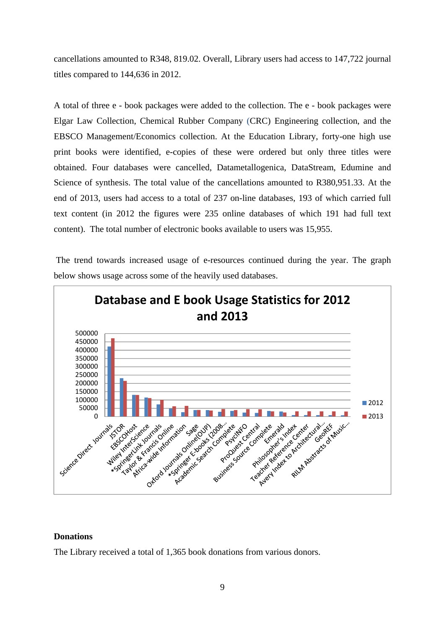cancellations amounted to R348, 819.02. Overall, Library users had access to 147,722 journal titles compared to 144,636 in 2012.

A total of three e - book packages were added to the collection. The e - book packages were Elgar Law Collection, Chemical Rubber Company (CRC) Engineering collection, and the EBSCO Management/Economics collection. At the Education Library, forty-one high use print books were identified, e-copies of these were ordered but only three titles were obtained. Four databases were cancelled, Datametallogenica, DataStream, Edumine and Science of synthesis. The total value of the cancellations amounted to R380,951.33. At the end of 2013, users had access to a total of 237 on-line databases, 193 of which carried full text content (in 2012 the figures were 235 online databases of which 191 had full text content). The total number of electronic books available to users was 15,955.

 The trend towards increased usage of e-resources continued during the year. The graph below shows usage across some of the heavily used databases.



## **Donations**

The Library received a total of 1,365 book donations from various donors.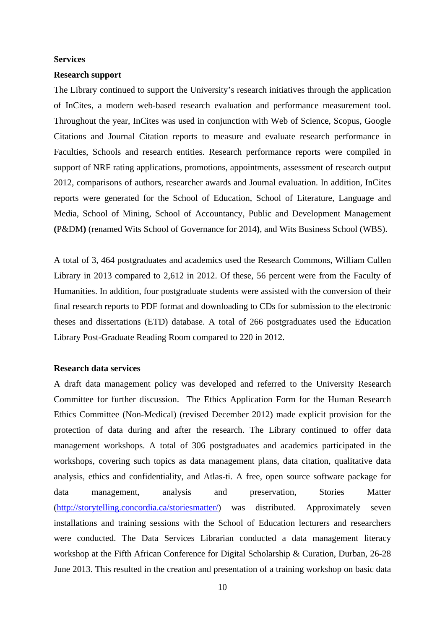#### **Services**

#### **Research support**

The Library continued to support the University's research initiatives through the application of InCites, a modern web-based research evaluation and performance measurement tool. Throughout the year, InCites was used in conjunction with Web of Science, Scopus, Google Citations and Journal Citation reports to measure and evaluate research performance in Faculties, Schools and research entities. Research performance reports were compiled in support of NRF rating applications, promotions, appointments, assessment of research output 2012, comparisons of authors, researcher awards and Journal evaluation. In addition, InCites reports were generated for the School of Education, School of Literature, Language and Media, School of Mining, School of Accountancy, Public and Development Management **(**P&DM**)** (renamed Wits School of Governance for 2014**)**, and Wits Business School (WBS).

A total of 3, 464 postgraduates and academics used the Research Commons, William Cullen Library in 2013 compared to 2,612 in 2012. Of these, 56 percent were from the Faculty of Humanities. In addition, four postgraduate students were assisted with the conversion of their final research reports to PDF format and downloading to CDs for submission to the electronic theses and dissertations (ETD) database. A total of 266 postgraduates used the Education Library Post-Graduate Reading Room compared to 220 in 2012.

#### **Research data services**

A draft data management policy was developed and referred to the University Research Committee for further discussion. The Ethics Application Form for the Human Research Ethics Committee (Non-Medical) (revised December 2012) made explicit provision for the protection of data during and after the research. The Library continued to offer data management workshops. A total of 306 postgraduates and academics participated in the workshops, covering such topics as data management plans, data citation, qualitative data analysis, ethics and confidentiality, and Atlas-ti. A free, open source software package for data management, analysis and preservation, Stories Matter (http://storytelling.concordia.ca/storiesmatter/) was distributed. Approximately seven installations and training sessions with the School of Education lecturers and researchers were conducted. The Data Services Librarian conducted a data management literacy workshop at the Fifth African Conference for Digital Scholarship & Curation, Durban, 26-28 June 2013. This resulted in the creation and presentation of a training workshop on basic data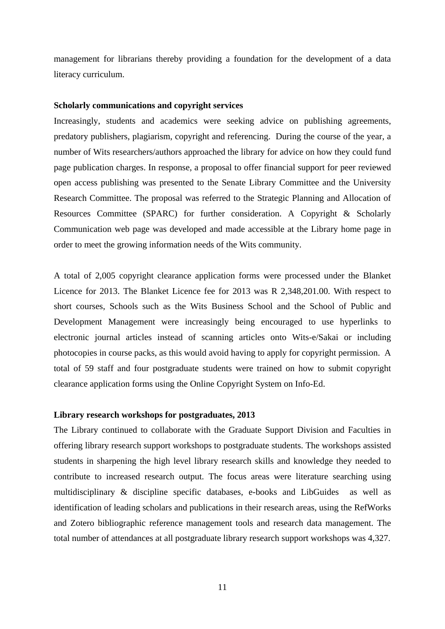management for librarians thereby providing a foundation for the development of a data literacy curriculum.

#### **Scholarly communications and copyright services**

Increasingly, students and academics were seeking advice on publishing agreements, predatory publishers, plagiarism, copyright and referencing. During the course of the year, a number of Wits researchers/authors approached the library for advice on how they could fund page publication charges. In response, a proposal to offer financial support for peer reviewed open access publishing was presented to the Senate Library Committee and the University Research Committee. The proposal was referred to the Strategic Planning and Allocation of Resources Committee (SPARC) for further consideration. A Copyright & Scholarly Communication web page was developed and made accessible at the Library home page in order to meet the growing information needs of the Wits community.

A total of 2,005 copyright clearance application forms were processed under the Blanket Licence for 2013. The Blanket Licence fee for 2013 was R 2,348,201.00. With respect to short courses, Schools such as the Wits Business School and the School of Public and Development Management were increasingly being encouraged to use hyperlinks to electronic journal articles instead of scanning articles onto Wits-e/Sakai or including photocopies in course packs, as this would avoid having to apply for copyright permission. A total of 59 staff and four postgraduate students were trained on how to submit copyright clearance application forms using the Online Copyright System on Info-Ed.

## **Library research workshops for postgraduates, 2013**

The Library continued to collaborate with the Graduate Support Division and Faculties in offering library research support workshops to postgraduate students. The workshops assisted students in sharpening the high level library research skills and knowledge they needed to contribute to increased research output. The focus areas were literature searching using multidisciplinary & discipline specific databases, e-books and LibGuides as well as identification of leading scholars and publications in their research areas, using the RefWorks and Zotero bibliographic reference management tools and research data management. The total number of attendances at all postgraduate library research support workshops was 4,327.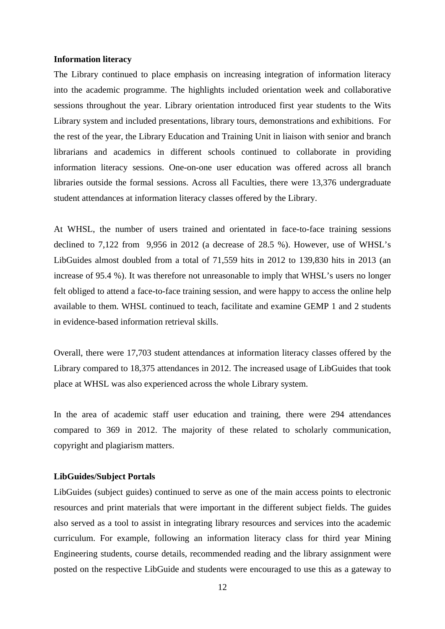#### **Information literacy**

The Library continued to place emphasis on increasing integration of information literacy into the academic programme. The highlights included orientation week and collaborative sessions throughout the year. Library orientation introduced first year students to the Wits Library system and included presentations, library tours, demonstrations and exhibitions. For the rest of the year, the Library Education and Training Unit in liaison with senior and branch librarians and academics in different schools continued to collaborate in providing information literacy sessions. One-on-one user education was offered across all branch libraries outside the formal sessions. Across all Faculties, there were 13,376 undergraduate student attendances at information literacy classes offered by the Library.

At WHSL, the number of users trained and orientated in face-to-face training sessions declined to 7,122 from 9,956 in 2012 (a decrease of 28.5 %). However, use of WHSL's LibGuides almost doubled from a total of 71,559 hits in 2012 to 139,830 hits in 2013 (an increase of 95.4 %). It was therefore not unreasonable to imply that WHSL's users no longer felt obliged to attend a face-to-face training session, and were happy to access the online help available to them. WHSL continued to teach, facilitate and examine GEMP 1 and 2 students in evidence-based information retrieval skills.

Overall, there were 17,703 student attendances at information literacy classes offered by the Library compared to 18,375 attendances in 2012. The increased usage of LibGuides that took place at WHSL was also experienced across the whole Library system.

In the area of academic staff user education and training, there were 294 attendances compared to 369 in 2012. The majority of these related to scholarly communication, copyright and plagiarism matters.

#### **LibGuides/Subject Portals**

LibGuides (subject guides) continued to serve as one of the main access points to electronic resources and print materials that were important in the different subject fields. The guides also served as a tool to assist in integrating library resources and services into the academic curriculum. For example, following an information literacy class for third year Mining Engineering students, course details, recommended reading and the library assignment were posted on the respective LibGuide and students were encouraged to use this as a gateway to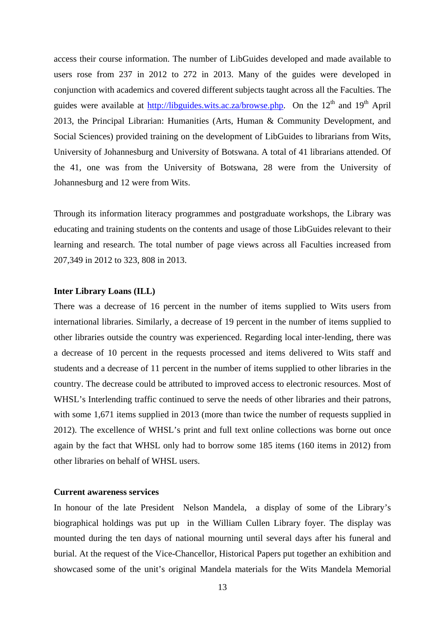access their course information. The number of LibGuides developed and made available to users rose from 237 in 2012 to 272 in 2013. Many of the guides were developed in conjunction with academics and covered different subjects taught across all the Faculties. The guides were available at  $\frac{http://lib guides.wits.ac.za/browse.php.$  On the 12<sup>th</sup> and 19<sup>th</sup> April 2013, the Principal Librarian: Humanities (Arts, Human & Community Development, and Social Sciences) provided training on the development of LibGuides to librarians from Wits, University of Johannesburg and University of Botswana. A total of 41 librarians attended. Of the 41, one was from the University of Botswana, 28 were from the University of Johannesburg and 12 were from Wits.

Through its information literacy programmes and postgraduate workshops, the Library was educating and training students on the contents and usage of those LibGuides relevant to their learning and research. The total number of page views across all Faculties increased from 207,349 in 2012 to 323, 808 in 2013.

#### **Inter Library Loans (ILL)**

There was a decrease of 16 percent in the number of items supplied to Wits users from international libraries. Similarly, a decrease of 19 percent in the number of items supplied to other libraries outside the country was experienced. Regarding local inter-lending, there was a decrease of 10 percent in the requests processed and items delivered to Wits staff and students and a decrease of 11 percent in the number of items supplied to other libraries in the country. The decrease could be attributed to improved access to electronic resources. Most of WHSL's Interlending traffic continued to serve the needs of other libraries and their patrons, with some 1,671 items supplied in 2013 (more than twice the number of requests supplied in 2012). The excellence of WHSL's print and full text online collections was borne out once again by the fact that WHSL only had to borrow some 185 items (160 items in 2012) from other libraries on behalf of WHSL users.

#### **Current awareness services**

In honour of the late President Nelson Mandela, a display of some of the Library's biographical holdings was put up in the William Cullen Library foyer. The display was mounted during the ten days of national mourning until several days after his funeral and burial. At the request of the Vice-Chancellor, Historical Papers put together an exhibition and showcased some of the unit's original Mandela materials for the Wits Mandela Memorial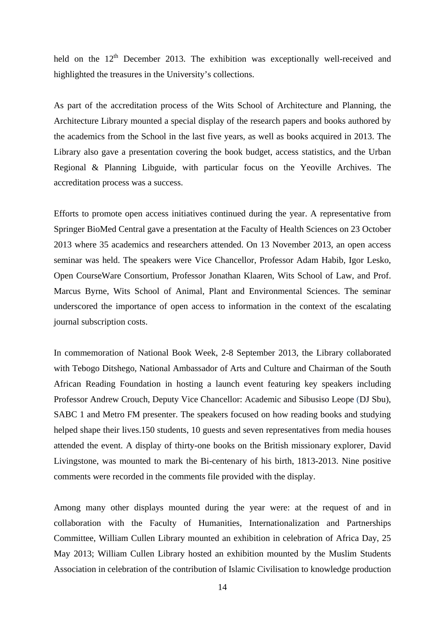held on the  $12<sup>th</sup>$  December 2013. The exhibition was exceptionally well-received and highlighted the treasures in the University's collections.

As part of the accreditation process of the Wits School of Architecture and Planning, the Architecture Library mounted a special display of the research papers and books authored by the academics from the School in the last five years, as well as books acquired in 2013. The Library also gave a presentation covering the book budget, access statistics, and the Urban Regional & Planning Libguide, with particular focus on the Yeoville Archives. The accreditation process was a success.

Efforts to promote open access initiatives continued during the year. A representative from Springer BioMed Central gave a presentation at the Faculty of Health Sciences on 23 October 2013 where 35 academics and researchers attended. On 13 November 2013, an open access seminar was held. The speakers were Vice Chancellor, Professor Adam Habib, Igor Lesko, Open CourseWare Consortium, Professor Jonathan Klaaren, Wits School of Law, and Prof. Marcus Byrne, Wits School of Animal, Plant and Environmental Sciences. The seminar underscored the importance of open access to information in the context of the escalating journal subscription costs.

In commemoration of National Book Week, 2-8 September 2013, the Library collaborated with Tebogo Ditshego, National Ambassador of Arts and Culture and Chairman of the South African Reading Foundation in hosting a launch event featuring key speakers including Professor Andrew Crouch, Deputy Vice Chancellor: Academic and Sibusiso Leope (DJ Sbu), SABC 1 and Metro FM presenter. The speakers focused on how reading books and studying helped shape their lives.150 students, 10 guests and seven representatives from media houses attended the event. A display of thirty-one books on the British missionary explorer, David Livingstone, was mounted to mark the Bi-centenary of his birth, 1813-2013. Nine positive comments were recorded in the comments file provided with the display.

Among many other displays mounted during the year were: at the request of and in collaboration with the Faculty of Humanities, Internationalization and Partnerships Committee, William Cullen Library mounted an exhibition in celebration of Africa Day, 25 May 2013; William Cullen Library hosted an exhibition mounted by the Muslim Students Association in celebration of the contribution of Islamic Civilisation to knowledge production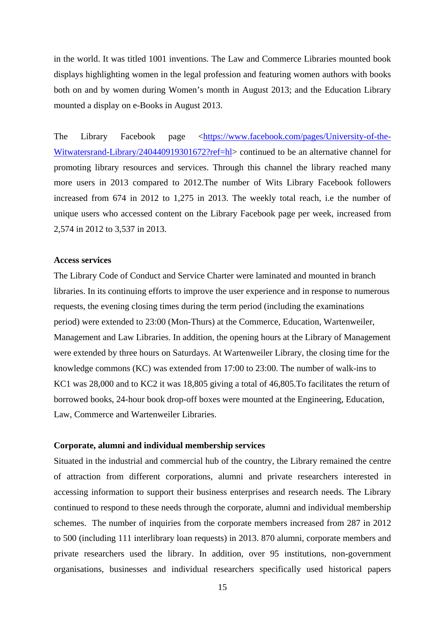in the world. It was titled 1001 inventions. The Law and Commerce Libraries mounted book displays highlighting women in the legal profession and featuring women authors with books both on and by women during Women's month in August 2013; and the Education Library mounted a display on e-Books in August 2013.

The Library Facebook page <https://www.facebook.com/pages/University-of-the-Witwatersrand-Library/240440919301672?ref=hl> continued to be an alternative channel for promoting library resources and services. Through this channel the library reached many more users in 2013 compared to 2012.The number of Wits Library Facebook followers increased from 674 in 2012 to 1,275 in 2013. The weekly total reach, i.e the number of unique users who accessed content on the Library Facebook page per week, increased from 2,574 in 2012 to 3,537 in 2013.

#### **Access services**

The Library Code of Conduct and Service Charter were laminated and mounted in branch libraries. In its continuing efforts to improve the user experience and in response to numerous requests, the evening closing times during the term period (including the examinations period) were extended to 23:00 (Mon-Thurs) at the Commerce, Education, Wartenweiler, Management and Law Libraries. In addition, the opening hours at the Library of Management were extended by three hours on Saturdays. At Wartenweiler Library, the closing time for the knowledge commons (KC) was extended from 17:00 to 23:00. The number of walk-ins to KC1 was 28,000 and to KC2 it was 18,805 giving a total of 46,805.To facilitates the return of borrowed books, 24-hour book drop-off boxes were mounted at the Engineering, Education, Law, Commerce and Wartenweiler Libraries.

#### **Corporate, alumni and individual membership services**

Situated in the industrial and commercial hub of the country, the Library remained the centre of attraction from different corporations, alumni and private researchers interested in accessing information to support their business enterprises and research needs. The Library continued to respond to these needs through the corporate, alumni and individual membership schemes. The number of inquiries from the corporate members increased from 287 in 2012 to 500 (including 111 interlibrary loan requests) in 2013. 870 alumni, corporate members and private researchers used the library. In addition, over 95 institutions, non-government organisations, businesses and individual researchers specifically used historical papers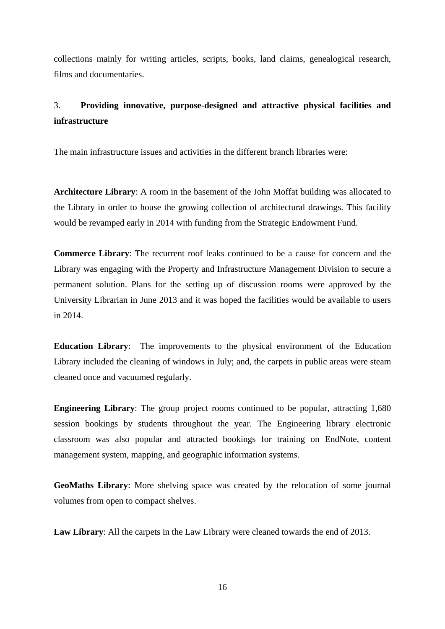collections mainly for writing articles, scripts, books, land claims, genealogical research, films and documentaries.

# 3. **Providing innovative, purpose-designed and attractive physical facilities and infrastructure**

The main infrastructure issues and activities in the different branch libraries were:

**Architecture Library**: A room in the basement of the John Moffat building was allocated to the Library in order to house the growing collection of architectural drawings. This facility would be revamped early in 2014 with funding from the Strategic Endowment Fund.

**Commerce Library**: The recurrent roof leaks continued to be a cause for concern and the Library was engaging with the Property and Infrastructure Management Division to secure a permanent solution. Plans for the setting up of discussion rooms were approved by the University Librarian in June 2013 and it was hoped the facilities would be available to users in 2014.

**Education Library**: The improvements to the physical environment of the Education Library included the cleaning of windows in July; and, the carpets in public areas were steam cleaned once and vacuumed regularly.

**Engineering Library**: The group project rooms continued to be popular, attracting 1,680 session bookings by students throughout the year. The Engineering library electronic classroom was also popular and attracted bookings for training on EndNote, content management system, mapping, and geographic information systems.

**GeoMaths Library**: More shelving space was created by the relocation of some journal volumes from open to compact shelves.

**Law Library**: All the carpets in the Law Library were cleaned towards the end of 2013.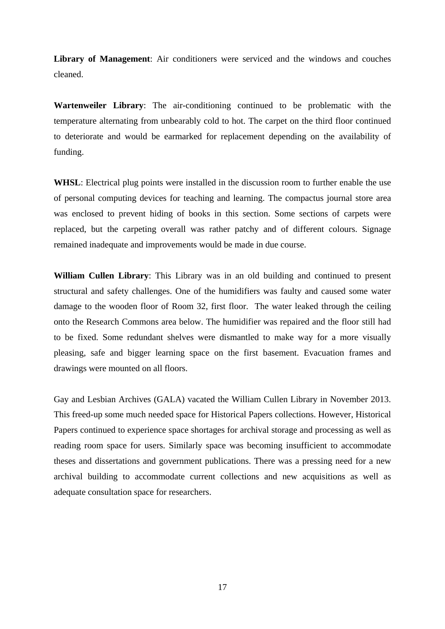**Library of Management**: Air conditioners were serviced and the windows and couches cleaned.

**Wartenweiler Library**: The air-conditioning continued to be problematic with the temperature alternating from unbearably cold to hot. The carpet on the third floor continued to deteriorate and would be earmarked for replacement depending on the availability of funding.

WHSL: Electrical plug points were installed in the discussion room to further enable the use of personal computing devices for teaching and learning. The compactus journal store area was enclosed to prevent hiding of books in this section. Some sections of carpets were replaced, but the carpeting overall was rather patchy and of different colours. Signage remained inadequate and improvements would be made in due course.

**William Cullen Library**: This Library was in an old building and continued to present structural and safety challenges. One of the humidifiers was faulty and caused some water damage to the wooden floor of Room 32, first floor. The water leaked through the ceiling onto the Research Commons area below. The humidifier was repaired and the floor still had to be fixed. Some redundant shelves were dismantled to make way for a more visually pleasing, safe and bigger learning space on the first basement. Evacuation frames and drawings were mounted on all floors.

Gay and Lesbian Archives (GALA) vacated the William Cullen Library in November 2013. This freed-up some much needed space for Historical Papers collections. However, Historical Papers continued to experience space shortages for archival storage and processing as well as reading room space for users. Similarly space was becoming insufficient to accommodate theses and dissertations and government publications. There was a pressing need for a new archival building to accommodate current collections and new acquisitions as well as adequate consultation space for researchers.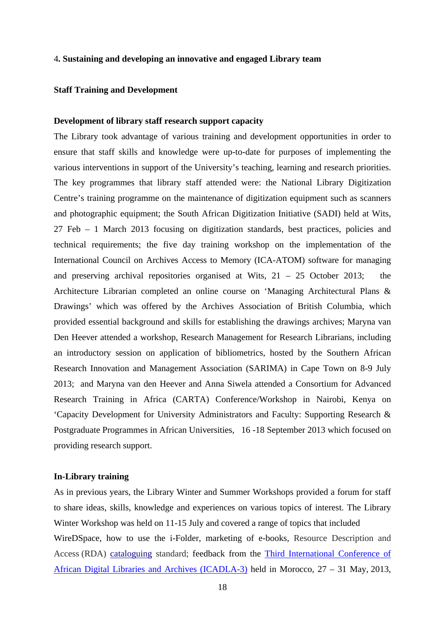#### 4**. Sustaining and developing an innovative and engaged Library team**

#### **Staff Training and Development**

#### **Development of library staff research support capacity**

The Library took advantage of various training and development opportunities in order to ensure that staff skills and knowledge were up-to-date for purposes of implementing the various interventions in support of the University's teaching, learning and research priorities. The key programmes that library staff attended were: the National Library Digitization Centre's training programme on the maintenance of digitization equipment such as scanners and photographic equipment; the South African Digitization Initiative (SADI) held at Wits, 27 Feb – 1 March 2013 focusing on digitization standards, best practices, policies and technical requirements; the five day training workshop on the implementation of the International Council on Archives Access to Memory (ICA-ATOM) software for managing and preserving archival repositories organised at Wits,  $21 - 25$  October 2013; the Architecture Librarian completed an online course on 'Managing Architectural Plans & Drawings' which was offered by the Archives Association of British Columbia, which provided essential background and skills for establishing the drawings archives; Maryna van Den Heever attended a workshop, Research Management for Research Librarians, including an introductory session on application of bibliometrics*,* hosted by the Southern African Research Innovation and Management Association (SARIMA) in Cape Town on 8-9 July 2013; and Maryna van den Heever and Anna Siwela attended a Consortium for Advanced Research Training in Africa (CARTA) Conference/Workshop in Nairobi, Kenya on 'Capacity Development for University Administrators and Faculty: Supporting Research & Postgraduate Programmes in African Universities, 16 -18 September 2013 which focused on providing research support.

#### **In-Library training**

As in previous years, the Library Winter and Summer Workshops provided a forum for staff to share ideas, skills, knowledge and experiences on various topics of interest. The Library Winter Workshop was held on 11-15 July and covered a range of topics that included WireDSpace, how to use the i-Folder, marketing of e-books, Resource Description and Access (RDA) cataloguing standard; feedback from the Third International Conference of African Digital Libraries and Archives (ICADLA-3) held in Morocco, 27 – 31 May, 2013,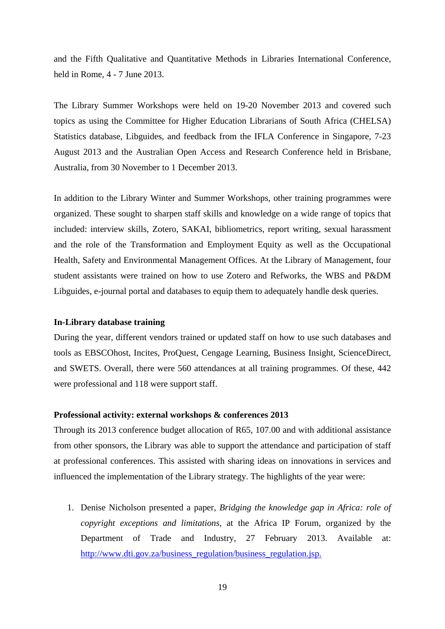and the Fifth Qualitative and Quantitative Methods in Libraries International Conference, held in Rome, 4 - 7 June 2013.

The Library Summer Workshops were held on 19-20 November 2013 and covered such topics as using the Committee for Higher Education Librarians of South Africa (CHELSA) Statistics database, Libguides, and feedback from the IFLA Conference in Singapore, 7-23 August 2013 and the Australian Open Access and Research Conference held in Brisbane, Australia, from 30 November to 1 December 2013.

In addition to the Library Winter and Summer Workshops, other training programmes were organized. These sought to sharpen staff skills and knowledge on a wide range of topics that included: interview skills, Zotero, SAKAI, bibliometrics, report writing, sexual harassment and the role of the Transformation and Employment Equity as well as the Occupational Health, Safety and Environmental Management Offices. At the Library of Management, four student assistants were trained on how to use Zotero and Refworks, the WBS and P&DM Libguides, e-journal portal and databases to equip them to adequately handle desk queries.

# **In-Library database training**

During the year, different vendors trained or updated staff on how to use such databases and tools as EBSCOhost, Incites, ProQuest, Cengage Learning, Business Insight, ScienceDirect, and SWETS. Overall, there were 560 attendances at all training programmes. Of these, 442 were professional and 118 were support staff.

## **Professional activity: external workshops & conferences 2013**

Through its 2013 conference budget allocation of R65, 107.00 and with additional assistance from other sponsors, the Library was able to support the attendance and participation of staff at professional conferences. This assisted with sharing ideas on innovations in services and influenced the implementation of the Library strategy. The highlights of the year were:

1. Denise Nicholson presented a paper, *Bridging the knowledge gap in Africa: role of copyright exceptions and limitations,* at the Africa IP Forum, organized by the Department of Trade and Industry, 27 February 2013. Available at: http://www.dti.gov.za/business\_regulation/business\_regulation.jsp.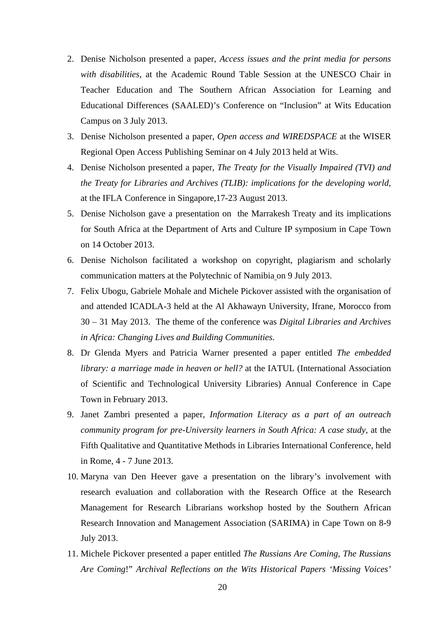- 2. Denise Nicholson presented a paper, *Access issues and the print media for persons with disabilities*, at the Academic Round Table Session at the UNESCO Chair in Teacher Education and The Southern African Association for Learning and Educational Differences (SAALED)'s Conference on "Inclusion" at Wits Education Campus on 3 July 2013.
- 3. Denise Nicholson presented a paper, *Open access and WIREDSPACE* at the WISER Regional Open Access Publishing Seminar on 4 July 2013 held at Wits.
- 4. Denise Nicholson presented a paper, *The Treaty for the Visually Impaired (TVI) and the Treaty for Libraries and Archives (TLIB): implications for the developing world,* at the IFLA Conference in Singapore,17-23 August 2013.
- 5. Denise Nicholson gave a presentation on the Marrakesh Treaty and its implications for South Africa at the Department of Arts and Culture IP symposium in Cape Town on 14 October 2013.
- 6. Denise Nicholson facilitated a workshop on copyright, plagiarism and scholarly communication matters at the Polytechnic of Namibia on 9 July 2013.
- 7. Felix Ubogu, Gabriele Mohale and Michele Pickover assisted with the organisation of and attended ICADLA-3 held at the Al Akhawayn University, Ifrane, Morocco from 30 – 31 May 2013. The theme of the conference was *Digital Libraries and Archives in Africa: Changing Lives and Building Communities*.
- 8. Dr Glenda Myers and Patricia Warner presented a paper entitled *The embedded library: a marriage made in heaven or hell?* at the IATUL (International Association of Scientific and Technological University Libraries) Annual Conference in Cape Town in February 2013.
- 9. Janet Zambri presented a paper, *Information Literacy as a part of an outreach community program for pre-University learners in South Africa: A case study*, at the Fifth Qualitative and Quantitative Methods in Libraries International Conference, held in Rome, 4 - 7 June 2013.
- 10. Maryna van Den Heever gave a presentation on the library's involvement with research evaluation and collaboration with the Research Office at the Research Management for Research Librarians workshop hosted by the Southern African Research Innovation and Management Association (SARIMA) in Cape Town on 8-9 July 2013.
- 11. Michele Pickover presented a paper entitled *The Russians Are Coming, The Russians Are Coming*!" *Archival Reflections on the Wits Historical Papers 'Missing Voices'*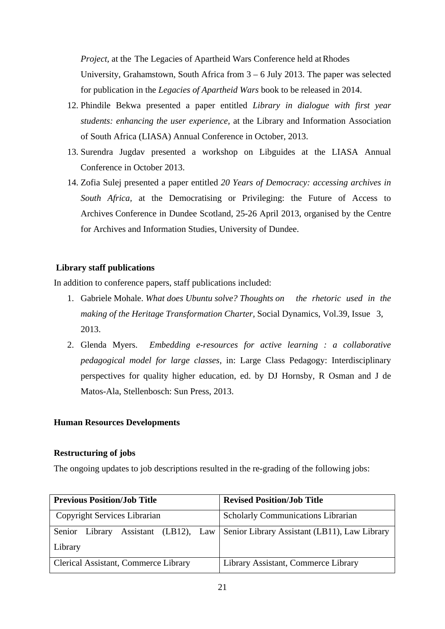*Project,* at the The Legacies of Apartheid Wars Conference held at Rhodes University, Grahamstown, South Africa from 3 – 6 July 2013. The paper was selected for publication in the *Legacies of Apartheid Wars* book to be released in 2014.

- 12. Phindile Bekwa presented a paper entitled *Library in dialogue with first year students: enhancing the user experience,* at the Library and Information Association of South Africa (LIASA) Annual Conference in October, 2013.
- 13. Surendra Jugdav presented a workshop on Libguides at the LIASA Annual Conference in October 2013.
- 14. Zofia Sulej presented a paper entitled *20 Years of Democracy: accessing archives in South Africa,* at the Democratising or Privileging: the Future of Access to Archives Conference in Dundee Scotland, 25-26 April 2013, organised by the Centre for Archives and Information Studies, University of Dundee.

# **Library staff publications**

In addition to conference papers, staff publications included:

- 1. Gabriele Mohale. *What does Ubuntu solve? Thoughts on the rhetoric used in the making of the Heritage Transformation Charter,* Social Dynamics, Vol.39, Issue 3, 2013.
- 2. Glenda Myers. *Embedding e-resources for active learning : a collaborative pedagogical model for large classes,* in: Large Class Pedagogy: Interdisciplinary perspectives for quality higher education, ed. by DJ Hornsby, R Osman and J de Matos-Ala, Stellenbosch: Sun Press, 2013.

# **Human Resources Developments**

# **Restructuring of jobs**

The ongoing updates to job descriptions resulted in the re-grading of the following jobs:

| <b>Previous Position/Job Title</b>   | <b>Revised Position/Job Title</b>                                    |  |  |
|--------------------------------------|----------------------------------------------------------------------|--|--|
| Copyright Services Librarian         | <b>Scholarly Communications Librarian</b>                            |  |  |
| Senior Library                       | Assistant (LB12), Law   Senior Library Assistant (LB11), Law Library |  |  |
| Library                              |                                                                      |  |  |
| Clerical Assistant, Commerce Library | Library Assistant, Commerce Library                                  |  |  |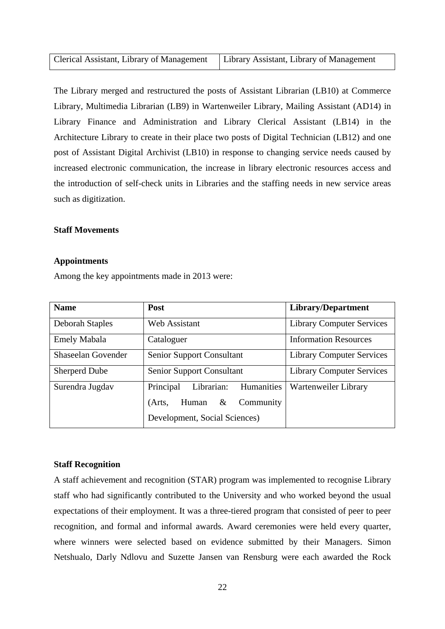| Clerical Assistant, Library of Management   Library Assistant, Library of Management |  |
|--------------------------------------------------------------------------------------|--|
|                                                                                      |  |

The Library merged and restructured the posts of Assistant Librarian (LB10) at Commerce Library, Multimedia Librarian (LB9) in Wartenweiler Library, Mailing Assistant (AD14) in Library Finance and Administration and Library Clerical Assistant (LB14) in the Architecture Library to create in their place two posts of Digital Technician (LB12) and one post of Assistant Digital Archivist (LB10) in response to changing service needs caused by increased electronic communication, the increase in library electronic resources access and the introduction of self-check units in Libraries and the staffing needs in new service areas such as digitization.

# **Staff Movements**

#### **Appointments**

Among the key appointments made in 2013 were:

| <b>Name</b>               | Post                                  | <b>Library/Department</b>        |  |  |
|---------------------------|---------------------------------------|----------------------------------|--|--|
| Deborah Staples           | Web Assistant                         | <b>Library Computer Services</b> |  |  |
| <b>Emely Mabala</b>       | Cataloguer                            | <b>Information Resources</b>     |  |  |
| <b>Shaseelan Govender</b> | <b>Senior Support Consultant</b>      | <b>Library Computer Services</b> |  |  |
| <b>Sherperd Dube</b>      | <b>Senior Support Consultant</b>      | <b>Library Computer Services</b> |  |  |
| Surendra Jugdav           | Humanities<br>Principal<br>Librarian: | Wartenweiler Library             |  |  |
|                           | Community<br>Human &<br>(Arts,        |                                  |  |  |
|                           |                                       |                                  |  |  |

# **Staff Recognition**

A staff achievement and recognition (STAR) program was implemented to recognise Library staff who had significantly contributed to the University and who worked beyond the usual expectations of their employment. It was a three-tiered program that consisted of peer to peer recognition, and formal and informal awards. Award ceremonies were held every quarter, where winners were selected based on evidence submitted by their Managers. Simon Netshualo, Darly Ndlovu and Suzette Jansen van Rensburg were each awarded the Rock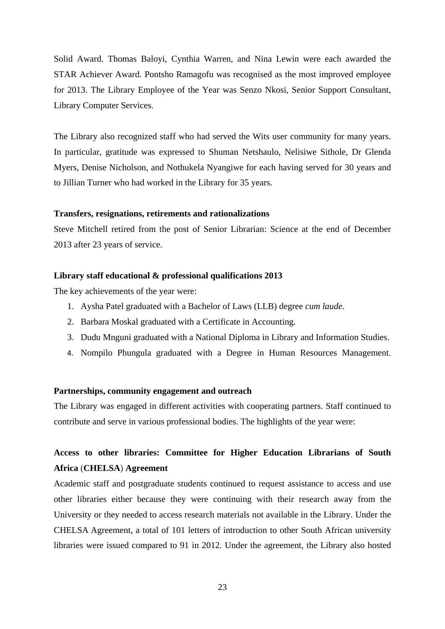Solid Award. Thomas Baloyi, Cynthia Warren, and Nina Lewin were each awarded the STAR Achiever Award. Pontsho Ramagofu was recognised as the most improved employee for 2013. The Library Employee of the Year was Senzo Nkosi, Senior Support Consultant, Library Computer Services.

The Library also recognized staff who had served the Wits user community for many years. In particular, gratitude was expressed to Shuman Netshaulo, Nelisiwe Sithole, Dr Glenda Myers, Denise Nicholson, and Nothukela Nyangiwe for each having served for 30 years and to Jillian Turner who had worked in the Library for 35 years.

# **Transfers, resignations, retirements and rationalizations**

Steve Mitchell retired from the post of Senior Librarian: Science at the end of December 2013 after 23 years of service.

#### **Library staff educational & professional qualifications 2013**

The key achievements of the year were:

- 1. Aysha Patel graduated with a Bachelor of Laws (LLB) degree *cum laude*.
- 2. Barbara Moskal graduated with a Certificate in Accounting.
- 3. Dudu Mnguni graduated with a National Diploma in Library and Information Studies.
- 4. Nompilo Phungula graduated with a Degree in Human Resources Management.

# **Partnerships, community engagement and outreach**

The Library was engaged in different activities with cooperating partners. Staff continued to contribute and serve in various professional bodies. The highlights of the year were:

# **Access to other libraries: Committee for Higher Education Librarians of South Africa** (**CHELSA**) **Agreement**

Academic staff and postgraduate students continued to request assistance to access and use other libraries either because they were continuing with their research away from the University or they needed to access research materials not available in the Library. Under the CHELSA Agreement, a total of 101 letters of introduction to other South African university libraries were issued compared to 91 in 2012. Under the agreement, the Library also hosted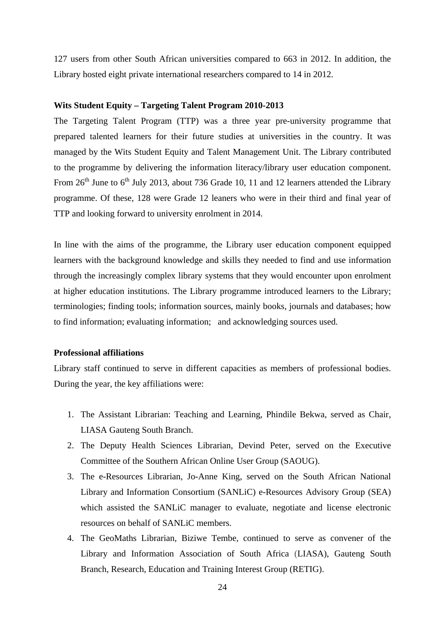127 users from other South African universities compared to 663 in 2012. In addition, the Library hosted eight private international researchers compared to 14 in 2012.

# **Wits Student Equity – Targeting Talent Program 2010-2013**

The Targeting Talent Program (TTP) was a three year pre-university programme that prepared talented learners for their future studies at universities in the country. It was managed by the Wits Student Equity and Talent Management Unit. The Library contributed to the programme by delivering the information literacy/library user education component. From  $26<sup>th</sup>$  June to  $6<sup>th</sup>$  July 2013, about 736 Grade 10, 11 and 12 learners attended the Library programme. Of these, 128 were Grade 12 leaners who were in their third and final year of TTP and looking forward to university enrolment in 2014.

In line with the aims of the programme, the Library user education component equipped learners with the background knowledge and skills they needed to find and use information through the increasingly complex library systems that they would encounter upon enrolment at higher education institutions. The Library programme introduced learners to the Library; terminologies; finding tools; information sources, mainly books, journals and databases; how to find information; evaluating information; and acknowledging sources used.

# **Professional affiliations**

Library staff continued to serve in different capacities as members of professional bodies. During the year, the key affiliations were:

- 1. The Assistant Librarian: Teaching and Learning, Phindile Bekwa, served as Chair, LIASA Gauteng South Branch.
- 2. The Deputy Health Sciences Librarian, Devind Peter, served on the Executive Committee of the Southern African Online User Group (SAOUG).
- 3. The e-Resources Librarian, Jo-Anne King, served on the South African National Library and Information Consortium (SANLiC) e-Resources Advisory Group (SEA) which assisted the SANLiC manager to evaluate, negotiate and license electronic resources on behalf of SANLiC members.
- 4. The GeoMaths Librarian, Biziwe Tembe, continued to serve as convener of the Library and Information Association of South Africa (LIASA), Gauteng South Branch, Research, Education and Training Interest Group (RETIG).